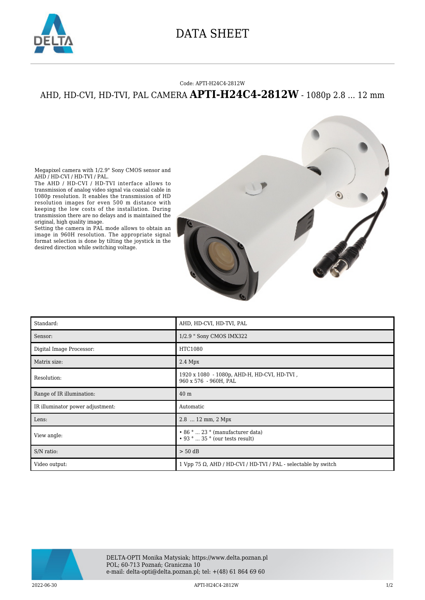

## DATA SHEET

## Code: APTI-H24C4-2812W

## AHD, HD-CVI, HD-TVI, PAL CAMERA **APTI-H24C4-2812W** - 1080p 2.8 ... 12 mm

Megapixel camera with 1/2.9" Sony CMOS sensor and AHD / HD-CVI / HD-TVI / PAL.

The AHD / HD-CVI / HD-TVI interface allows to transmission of analog video signal via coaxial cable in 1080p resolution. It enables the transmission of HD resolution images for even 500 m distance with keeping the low costs of the installation. During transmission there are no delays and is maintained the original, high quality image.

Setting the camera in PAL mode allows to obtain an image in 960H resolution. The appropriate signal format selection is done by tilting the joystick in the desired direction while switching voltage.



| Standard:                        | AHD, HD-CVI, HD-TVI, PAL                                                        |
|----------------------------------|---------------------------------------------------------------------------------|
| Sensor:                          | 1/2.9 " Sony CMOS IMX322                                                        |
| Digital Image Processor:         | HTC1080                                                                         |
| Matrix size:                     | $2.4$ Mpx                                                                       |
| Resolution:                      | 1920 x 1080 - 1080p, AHD-H, HD-CVI, HD-TVI,<br>960 x 576 - 960H, PAL            |
| Range of IR illumination:        | 40 <sub>m</sub>                                                                 |
| IR illuminator power adjustment: | Automatic                                                                       |
| Lens:                            | $2.8$ 12 mm, 2 Mpx                                                              |
| View angle:                      | $\cdot$ 86 °  23 ° (manufacturer data)<br>$\cdot$ 93 °  35 ° (our tests result) |
| S/N ratio:                       | $> 50$ dB                                                                       |
| Video output:                    | 1 Vpp 75 $\Omega$ , AHD / HD-CVI / HD-TVI / PAL - selectable by switch          |



2022-06-30 APTI-H24C4-2812W 1/2